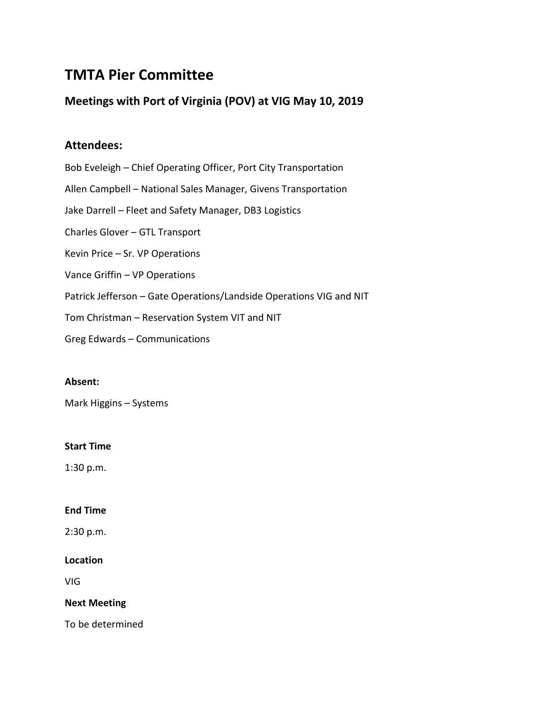# **TMTA Pier Committee**

## **Meetings with Port of Virginia (POV) at VIG May 10, 2019**

### **Attendees:**

Bob Eveleigh – Chief Operating Officer, Port City Transportation Allen Campbell – National Sales Manager, Givens Transportation Jake Darrell – Fleet and Safety Manager, DB3 Logistics Charles Glover – GTL Transport Kevin Price – Sr. VP Operations Vance Griffin – VP Operations Patrick Jefferson – Gate Operations/Landside Operations VIG and NIT Tom Christman – Reservation System VIT and NIT

Greg Edwards – Communications

### **Absent:**

Mark Higgins – Systems

### **Start Time**

1:30 p.m.

### **End Time**

2:30 p.m.

### **Location**

VIG

### **Next Meeting**

To be determined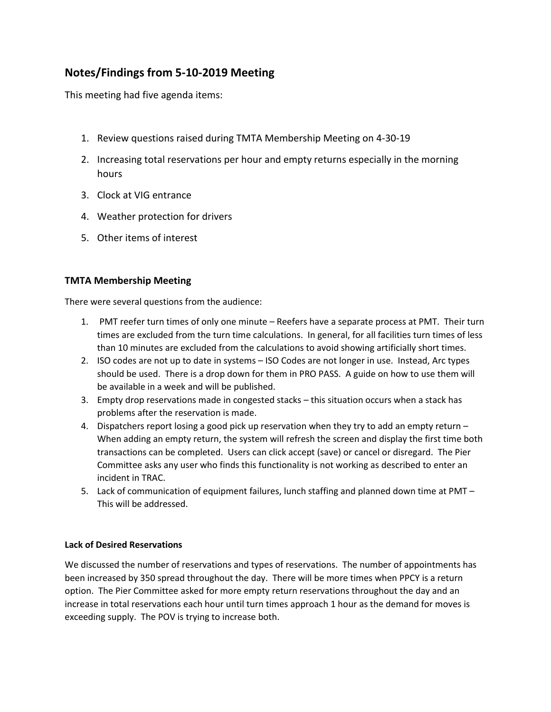# **Notes/Findings from 5-10-2019 Meeting**

This meeting had five agenda items:

- 1. Review questions raised during TMTA Membership Meeting on 4-30-19
- 2. Increasing total reservations per hour and empty returns especially in the morning hours
- 3. Clock at VIG entrance
- 4. Weather protection for drivers
- 5. Other items of interest

### **TMTA Membership Meeting**

There were several questions from the audience:

- 1. PMT reefer turn times of only one minute Reefers have a separate process at PMT. Their turn times are excluded from the turn time calculations. In general, for all facilities turn times of less than 10 minutes are excluded from the calculations to avoid showing artificially short times.
- 2. ISO codes are not up to date in systems ISO Codes are not longer in use. Instead, Arc types should be used. There is a drop down for them in PRO PASS. A guide on how to use them will be available in a week and will be published.
- 3. Empty drop reservations made in congested stacks this situation occurs when a stack has problems after the reservation is made.
- 4. Dispatchers report losing a good pick up reservation when they try to add an empty return When adding an empty return, the system will refresh the screen and display the first time both transactions can be completed. Users can click accept (save) or cancel or disregard. The Pier Committee asks any user who finds this functionality is not working as described to enter an incident in TRAC.
- 5. Lack of communication of equipment failures, lunch staffing and planned down time at PMT This will be addressed.

### **Lack of Desired Reservations**

We discussed the number of reservations and types of reservations. The number of appointments has been increased by 350 spread throughout the day. There will be more times when PPCY is a return option. The Pier Committee asked for more empty return reservations throughout the day and an increase in total reservations each hour until turn times approach 1 hour as the demand for moves is exceeding supply. The POV is trying to increase both.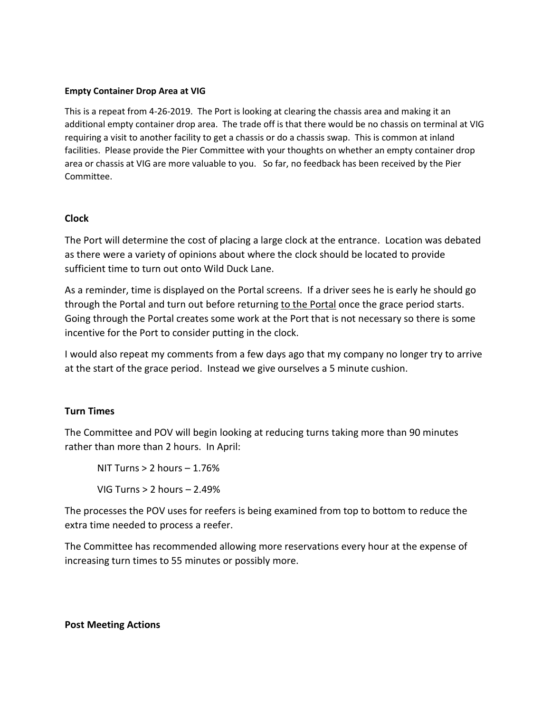### **Empty Container Drop Area at VIG**

This is a repeat from 4-26-2019. The Port is looking at clearing the chassis area and making it an additional empty container drop area. The trade off is that there would be no chassis on terminal at VIG requiring a visit to another facility to get a chassis or do a chassis swap. This is common at inland facilities. Please provide the Pier Committee with your thoughts on whether an empty container drop area or chassis at VIG are more valuable to you. So far, no feedback has been received by the Pier Committee.

### **Clock**

The Port will determine the cost of placing a large clock at the entrance. Location was debated as there were a variety of opinions about where the clock should be located to provide sufficient time to turn out onto Wild Duck Lane.

As a reminder, time is displayed on the Portal screens. If a driver sees he is early he should go through the Portal and turn out before returning to the Portal once the grace period starts. Going through the Portal creates some work at the Port that is not necessary so there is some incentive for the Port to consider putting in the clock.

I would also repeat my comments from a few days ago that my company no longer try to arrive at the start of the grace period. Instead we give ourselves a 5 minute cushion.

### **Turn Times**

The Committee and POV will begin looking at reducing turns taking more than 90 minutes rather than more than 2 hours. In April:

NIT Turns  $> 2$  hours  $-1.76\%$ VIG Turns > 2 hours – 2.49%

The processes the POV uses for reefers is being examined from top to bottom to reduce the extra time needed to process a reefer.

The Committee has recommended allowing more reservations every hour at the expense of increasing turn times to 55 minutes or possibly more.

### **Post Meeting Actions**